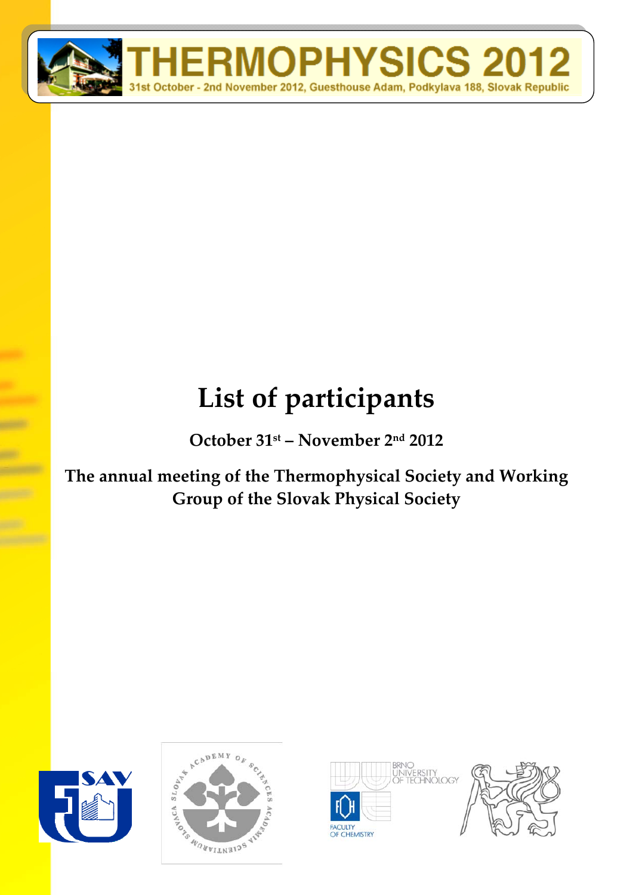

## **List of participants**

**October 31st – November 2nd 2012**

**The annual meeting of the Thermophysical Society and Working Group of the Slovak Physical Society**







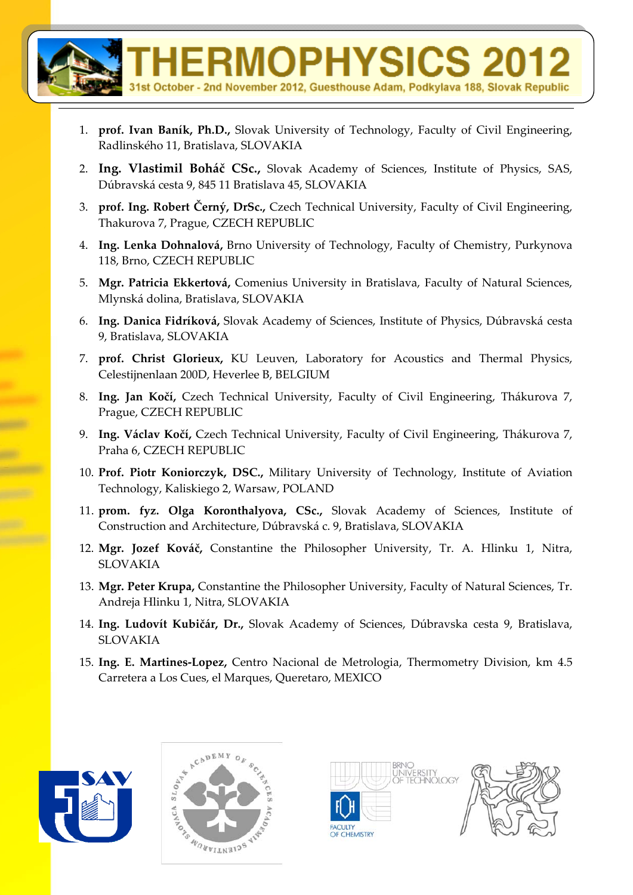

- 1. **prof. Ivan Baník, Ph.D.,** Slovak University of Technology, Faculty of Civil Engineering, Radlinského 11, Bratislava, SLOVAKIA
- 2. **Ing. Vlastimil Boháč CSc.,** Slovak Academy of Sciences, Institute of Physics, SAS, Dúbravská cesta 9, 845 11 Bratislava 45, SLOVAKIA
- 3. **prof. Ing. Robert Černý, DrSc.,** Czech Technical University, Faculty of Civil Engineering, Thakurova 7, Prague, CZECH REPUBLIC
- 4. **Ing. Lenka Dohnalová,** Brno University of Technology, Faculty of Chemistry, Purkynova 118, Brno, CZECH REPUBLIC
- 5. **Mgr. Patricia Ekkertová,** Comenius University in Bratislava, Faculty of Natural Sciences, Mlynská dolina, Bratislava, SLOVAKIA
- 6. **Ing. Danica Fidríková,** Slovak Academy of Sciences, Institute of Physics, Dúbravská cesta 9, Bratislava, SLOVAKIA
- 7. **prof. Christ Glorieux,** KU Leuven, Laboratory for Acoustics and Thermal Physics, Celestijnenlaan 200D, Heverlee B, BELGIUM
- 8. **Ing. Jan Kočí,** Czech Technical University, Faculty of Civil Engineering, Thákurova 7, Prague, CZECH REPUBLIC
- 9. **Ing. Václav Kočí,** Czech Technical University, Faculty of Civil Engineering, Thákurova 7, Praha 6, CZECH REPUBLIC
- 10. **Prof. Piotr Koniorczyk, DSC.,** Military University of Technology, Institute of Aviation Technology, Kaliskiego 2, Warsaw, POLAND
- 11. **prom. fyz. Olga Koronthalyova, CSc.,** Slovak Academy of Sciences, Institute of Construction and Architecture, Dúbravská c. 9, Bratislava, SLOVAKIA
- 12. **Mgr. Jozef Kováč,** Constantine the Philosopher University, Tr. A. Hlinku 1, Nitra, SLOVAKIA
- 13. **Mgr. Peter Krupa,** Constantine the Philosopher University, Faculty of Natural Sciences, Tr. Andreja Hlinku 1, Nitra, SLOVAKIA
- 14. **Ing. Ludovít Kubičár, Dr.,** Slovak Academy of Sciences, Dúbravska cesta 9, Bratislava, SLOVAKIA
- 15. **Ing. E. Martines‐Lopez,** Centro Nacional de Metrologia, Thermometry Division, km 4.5 Carretera a Los Cues, el Marques, Queretaro, MEXICO





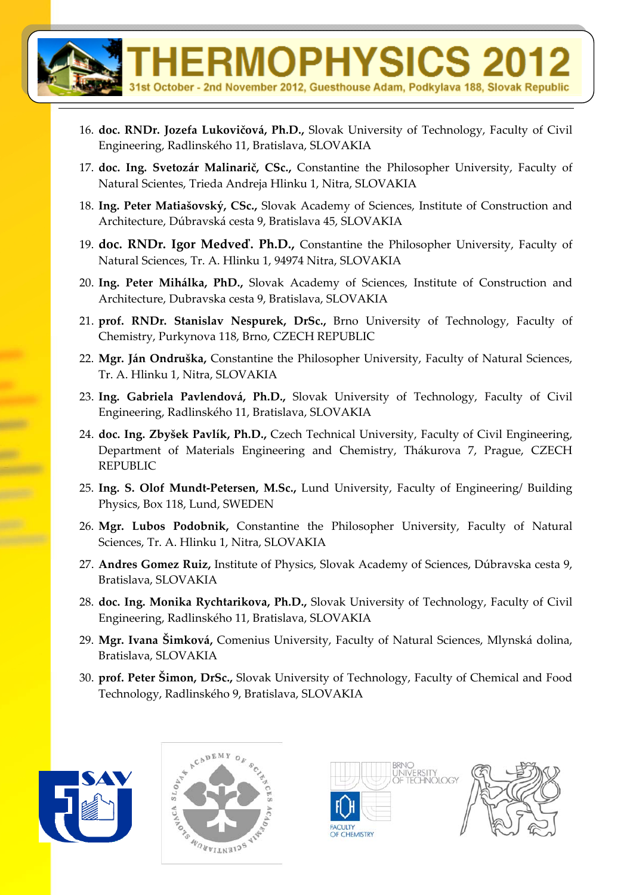16. **doc. RNDr. Jozefa Lukovičová, Ph.D.,** Slovak University of Technology, Faculty of Civil Engineering, Radlinského 11, Bratislava, SLOVAKIA

st October - 2nd November 2012, Guesthouse Adam, Podkylava 188, Slovak Republic

**ERMOPHYSICS** 

- 17. **doc. Ing. Svetozár Malinarič, CSc.,** Constantine the Philosopher University, Faculty of Natural Scientes, Trieda Andreja Hlinku 1, Nitra, SLOVAKIA
- 18. **Ing. Peter Matiašovský, CSc.,** Slovak Academy of Sciences, Institute of Construction and Architecture, Dúbravská cesta 9, Bratislava 45, SLOVAKIA
- 19. **doc. RNDr. Igor Medveď. Ph.D.,** Constantine the Philosopher University, Faculty of Natural Sciences, Tr. A. Hlinku 1, 94974 Nitra, SLOVAKIA
- 20. **Ing. Peter Mihálka, PhD.,** Slovak Academy of Sciences, Institute of Construction and Architecture, Dubravska cesta 9, Bratislava, SLOVAKIA
- 21. **prof. RNDr. Stanislav Nespurek, DrSc.,** Brno University of Technology, Faculty of Chemistry, Purkynova 118, Brno, CZECH REPUBLIC
- 22. **Mgr. Ján Ondruška,** Constantine the Philosopher University, Faculty of Natural Sciences, Tr. A. Hlinku 1, Nitra, SLOVAKIA
- 23. **Ing. Gabriela Pavlendová, Ph.D.,** Slovak University of Technology, Faculty of Civil Engineering, Radlinského 11, Bratislava, SLOVAKIA
- 24. **doc. Ing. Zbyšek Pavlík, Ph.D.,** Czech Technical University, Faculty of Civil Engineering, Department of Materials Engineering and Chemistry, Thákurova 7, Prague, CZECH REPUBLIC
- 25. **Ing. S. Olof Mundt‐Petersen, M.Sc.,** Lund University, Faculty of Engineering/ Building Physics, Box 118, Lund, SWEDEN
- 26. **Mgr. Lubos Podobnik,** Constantine the Philosopher University, Faculty of Natural Sciences, Tr. A. Hlinku 1, Nitra, SLOVAKIA
- 27. **Andres Gomez Ruiz,** Institute of Physics, Slovak Academy of Sciences, Dúbravska cesta 9, Bratislava, SLOVAKIA
- 28. **doc. Ing. Monika Rychtarikova, Ph.D.,** Slovak University of Technology, Faculty of Civil Engineering, Radlinského 11, Bratislava, SLOVAKIA
- 29. **Mgr. Ivana Šimková,** Comenius University, Faculty of Natural Sciences, Mlynská dolina, Bratislava, SLOVAKIA
- 30. **prof. Peter Šimon, DrSc.,** Slovak University of Technology, Faculty of Chemical and Food Technology, Radlinského 9, Bratislava, SLOVAKIA